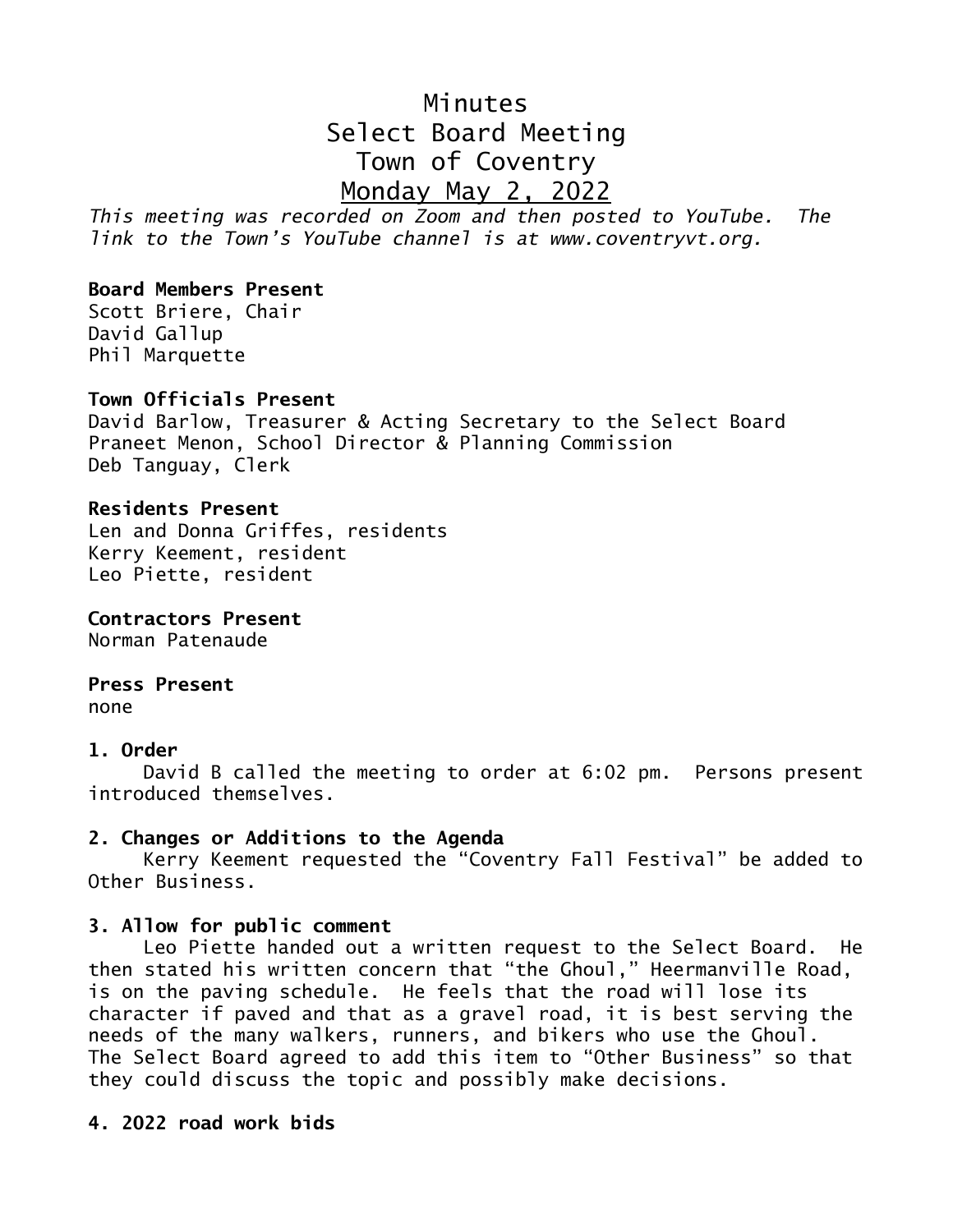# Minutes Select Board Meeting Town of Coventry Monday May 2, 2022

*This meeting was recorded on Zoom and then posted to YouTube. The link to the Town's YouTube channel is at www.coventryvt.org.*

# **Board Members Present**

Scott Briere, Chair David Gallup Phil Marquette

## **Town Officials Present**

David Barlow, Treasurer & Acting Secretary to the Select Board Praneet Menon, School Director & Planning Commission Deb Tanguay, Clerk

## **Residents Present**

Len and Donna Griffes, residents Kerry Keement, resident Leo Piette, resident

**Contractors Present** Norman Patenaude

# **Press Present**

none

### **1. Order**

David B called the meeting to order at 6:02 pm. Persons present introduced themselves.

# **2. Changes or Additions to the Agenda**

Kerry Keement requested the "Coventry Fall Festival" be added to Other Business.

### **3. Allow for public comment**

Leo Piette handed out a written request to the Select Board. He then stated his written concern that "the Ghoul," Heermanville Road, is on the paving schedule. He feels that the road will lose its character if paved and that as a gravel road, it is best serving the needs of the many walkers, runners, and bikers who use the Ghoul. The Select Board agreed to add this item to "Other Business" so that they could discuss the topic and possibly make decisions.

## **4. 2022 road work bids**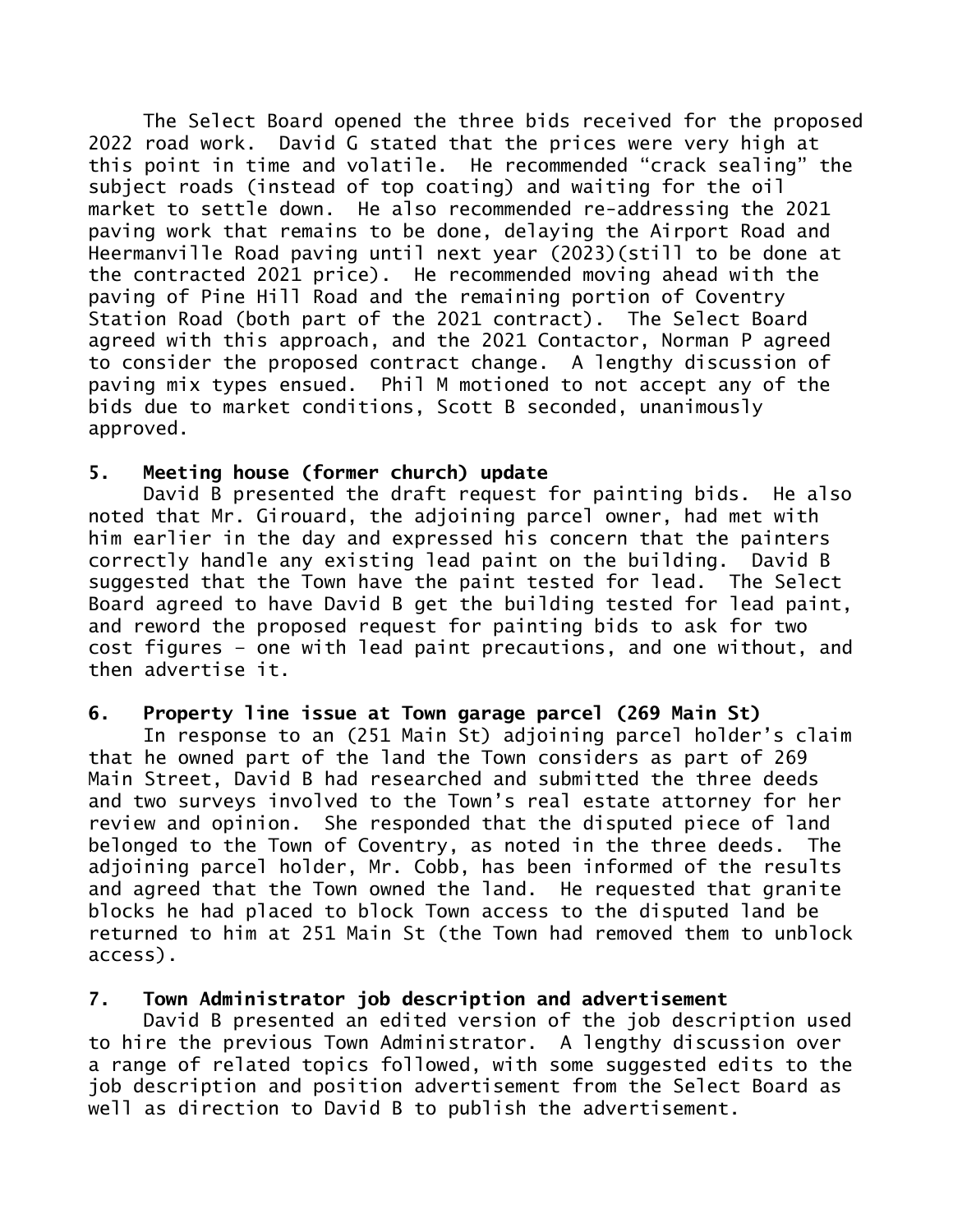The Select Board opened the three bids received for the proposed 2022 road work. David G stated that the prices were very high at this point in time and volatile. He recommended "crack sealing" the subject roads (instead of top coating) and waiting for the oil market to settle down. He also recommended re-addressing the 2021 paving work that remains to be done, delaying the Airport Road and Heermanville Road paving until next year (2023)(still to be done at the contracted 2021 price). He recommended moving ahead with the paving of Pine Hill Road and the remaining portion of Coventry Station Road (both part of the 2021 contract). The Select Board agreed with this approach, and the 2021 Contactor, Norman P agreed to consider the proposed contract change. A lengthy discussion of paving mix types ensued. Phil M motioned to not accept any of the bids due to market conditions, Scott B seconded, unanimously approved.

# **5. Meeting house (former church) update**

David B presented the draft request for painting bids. He also noted that Mr. Girouard, the adjoining parcel owner, had met with him earlier in the day and expressed his concern that the painters correctly handle any existing lead paint on the building. David B suggested that the Town have the paint tested for lead. The Select Board agreed to have David B get the building tested for lead paint, and reword the proposed request for painting bids to ask for two cost figures – one with lead paint precautions, and one without, and then advertise it.

# **6. Property line issue at Town garage parcel (269 Main St)**

In response to an (251 Main St) adjoining parcel holder's claim that he owned part of the land the Town considers as part of 269 Main Street, David B had researched and submitted the three deeds and two surveys involved to the Town's real estate attorney for her review and opinion. She responded that the disputed piece of land belonged to the Town of Coventry, as noted in the three deeds. The adjoining parcel holder, Mr. Cobb, has been informed of the results and agreed that the Town owned the land. He requested that granite blocks he had placed to block Town access to the disputed land be returned to him at 251 Main St (the Town had removed them to unblock access).

# **7. Town Administrator job description and advertisement**

David B presented an edited version of the job description used to hire the previous Town Administrator. A lengthy discussion over a range of related topics followed, with some suggested edits to the job description and position advertisement from the Select Board as well as direction to David B to publish the advertisement.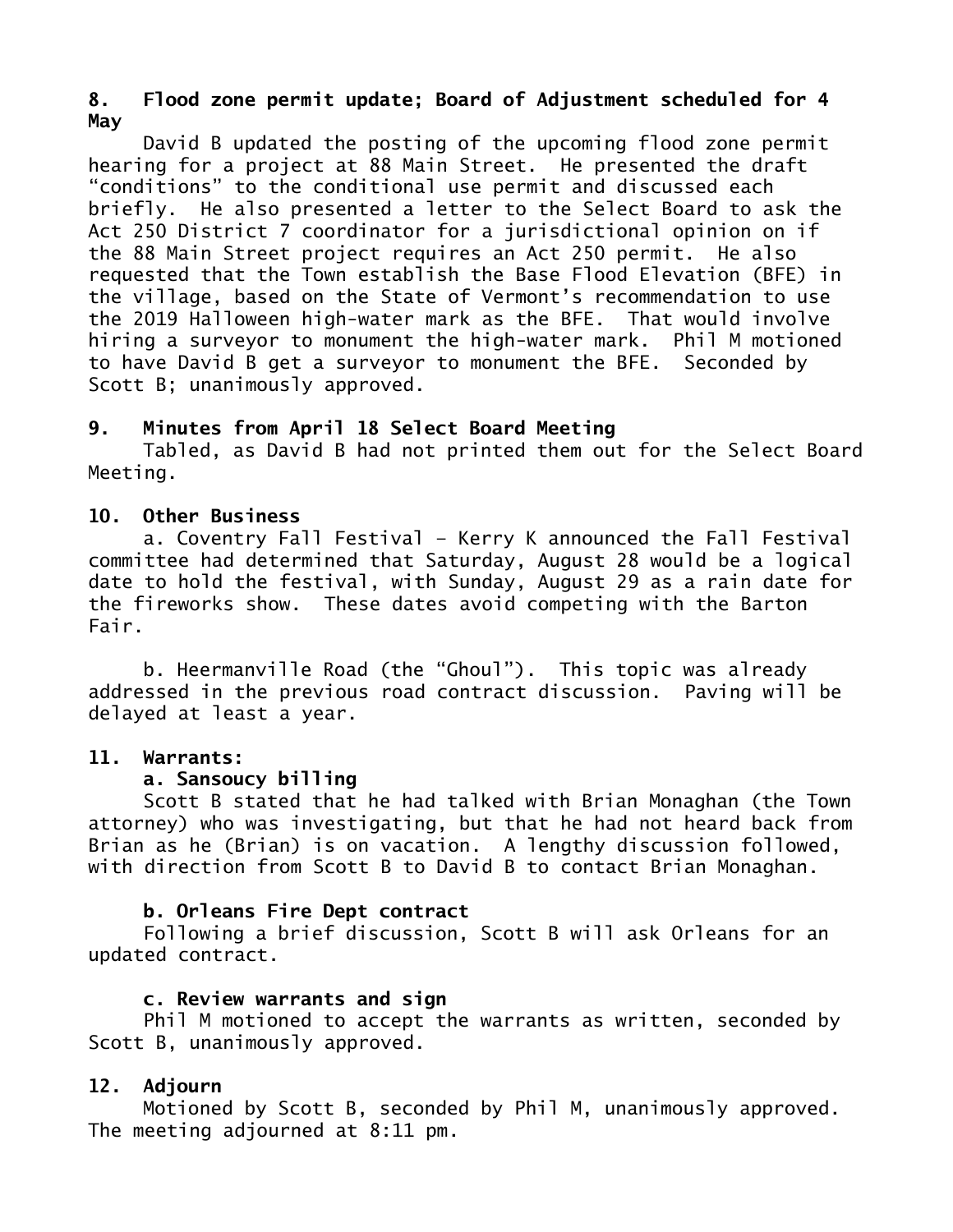# **8. Flood zone permit update; Board of Adjustment scheduled for 4 May**

David B updated the posting of the upcoming flood zone permit hearing for a project at 88 Main Street. He presented the draft "conditions" to the conditional use permit and discussed each briefly. He also presented a letter to the Select Board to ask the Act 250 District 7 coordinator for a jurisdictional opinion on if the 88 Main Street project requires an Act 250 permit. He also requested that the Town establish the Base Flood Elevation (BFE) in the village, based on the State of Vermont's recommendation to use the 2019 Halloween high-water mark as the BFE. That would involve hiring a surveyor to monument the high-water mark. Phil M motioned to have David B get a surveyor to monument the BFE. Seconded by Scott B; unanimously approved.

## **9. Minutes from April 18 Select Board Meeting**

Tabled, as David B had not printed them out for the Select Board Meeting.

### **10. Other Business**

a. Coventry Fall Festival – Kerry K announced the Fall Festival committee had determined that Saturday, August 28 would be a logical date to hold the festival, with Sunday, August 29 as a rain date for the fireworks show. These dates avoid competing with the Barton Fair.

b. Heermanville Road (the "Ghoul"). This topic was already addressed in the previous road contract discussion. Paving will be delayed at least a year.

### **11. Warrants:**

### **a. Sansoucy billing**

Scott B stated that he had talked with Brian Monaghan (the Town attorney) who was investigating, but that he had not heard back from Brian as he (Brian) is on vacation. A lengthy discussion followed, with direction from Scott B to David B to contact Brian Monaghan.

# **b. Orleans Fire Dept contract**

Following a brief discussion, Scott B will ask Orleans for an updated contract.

# **c. Review warrants and sign**

Phil M motioned to accept the warrants as written, seconded by Scott B, unanimously approved.

# **12. Adjourn**

Motioned by Scott B, seconded by Phil M, unanimously approved. The meeting adjourned at 8:11 pm.